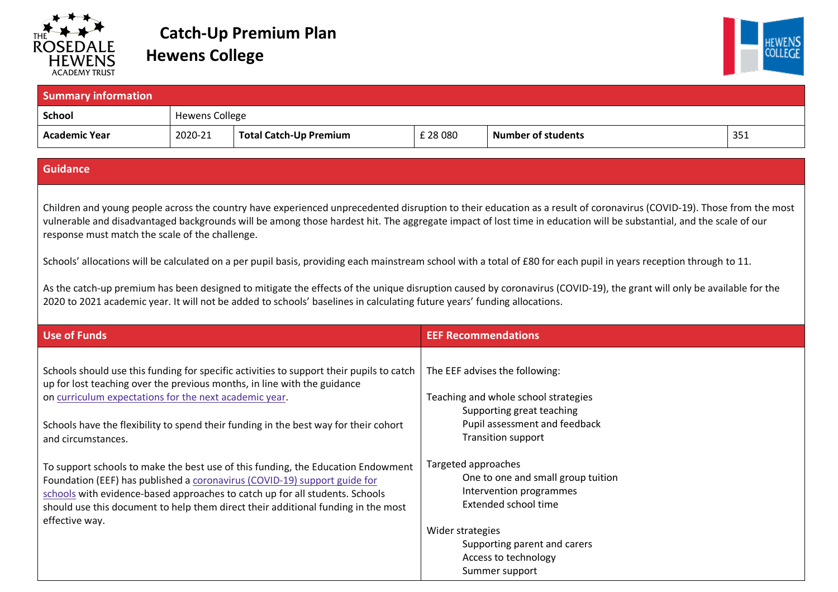

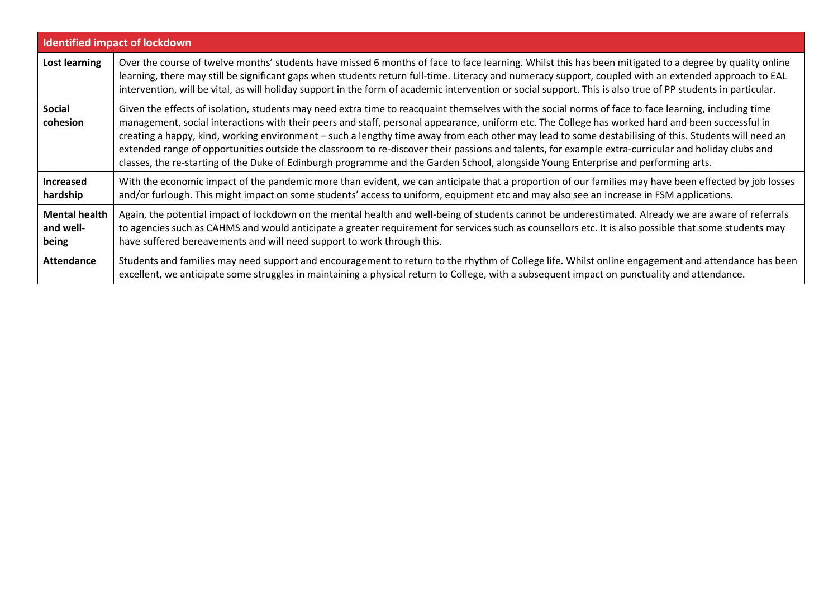| <b>Identified impact of lockdown</b>       |                                                                                                                                                                                                                                                                                                                                                                                                                                                                                                                                                                                                                                                                                                                                                               |  |  |
|--------------------------------------------|---------------------------------------------------------------------------------------------------------------------------------------------------------------------------------------------------------------------------------------------------------------------------------------------------------------------------------------------------------------------------------------------------------------------------------------------------------------------------------------------------------------------------------------------------------------------------------------------------------------------------------------------------------------------------------------------------------------------------------------------------------------|--|--|
| Lost learning                              | Over the course of twelve months' students have missed 6 months of face to face learning. Whilst this has been mitigated to a degree by quality online<br>learning, there may still be significant gaps when students return full-time. Literacy and numeracy support, coupled with an extended approach to EAL<br>intervention, will be vital, as will holiday support in the form of academic intervention or social support. This is also true of PP students in particular.                                                                                                                                                                                                                                                                               |  |  |
| <b>Social</b><br>cohesion                  | Given the effects of isolation, students may need extra time to reacquaint themselves with the social norms of face to face learning, including time<br>management, social interactions with their peers and staff, personal appearance, uniform etc. The College has worked hard and been successful in<br>creating a happy, kind, working environment - such a lengthy time away from each other may lead to some destabilising of this. Students will need an<br>extended range of opportunities outside the classroom to re-discover their passions and talents, for example extra-curricular and holiday clubs and<br>classes, the re-starting of the Duke of Edinburgh programme and the Garden School, alongside Young Enterprise and performing arts. |  |  |
| <b>Increased</b><br>hardship               | With the economic impact of the pandemic more than evident, we can anticipate that a proportion of our families may have been effected by job losses<br>and/or furlough. This might impact on some students' access to uniform, equipment etc and may also see an increase in FSM applications.                                                                                                                                                                                                                                                                                                                                                                                                                                                               |  |  |
| <b>Mental health</b><br>and well-<br>being | Again, the potential impact of lockdown on the mental health and well-being of students cannot be underestimated. Already we are aware of referrals<br>to agencies such as CAHMS and would anticipate a greater requirement for services such as counsellors etc. It is also possible that some students may<br>have suffered bereavements and will need support to work through this.                                                                                                                                                                                                                                                                                                                                                                        |  |  |
| <b>Attendance</b>                          | Students and families may need support and encouragement to return to the rhythm of College life. Whilst online engagement and attendance has been<br>excellent, we anticipate some struggles in maintaining a physical return to College, with a subsequent impact on punctuality and attendance.                                                                                                                                                                                                                                                                                                                                                                                                                                                            |  |  |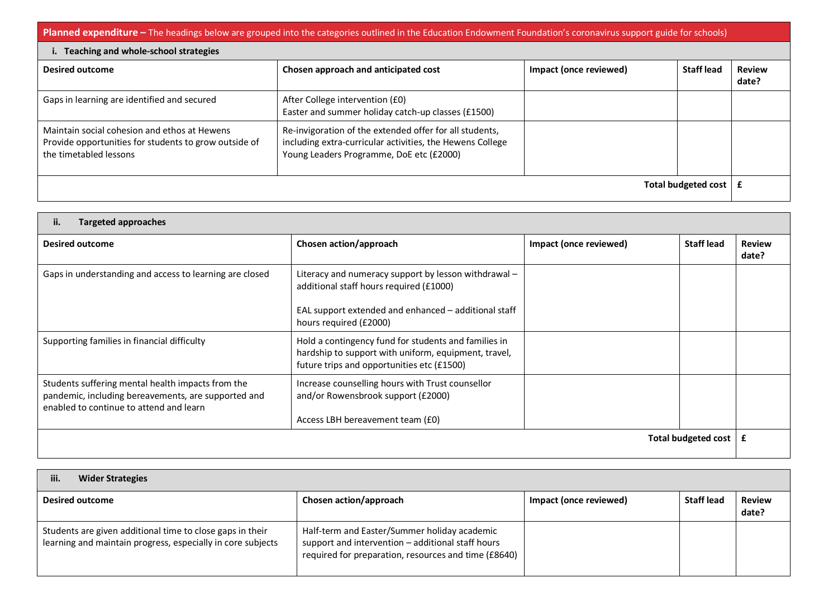**Planned expenditure** – The headings below are grouped into the categories outlined in the Education Endowment Foundation's coronavirus support guide for schools)

| i. Teaching and whole-school strategies                                                                                         |                                                                                                                                                                  |                        |                   |                        |
|---------------------------------------------------------------------------------------------------------------------------------|------------------------------------------------------------------------------------------------------------------------------------------------------------------|------------------------|-------------------|------------------------|
| <b>Desired outcome</b>                                                                                                          | Chosen approach and anticipated cost                                                                                                                             | Impact (once reviewed) | <b>Staff lead</b> | <b>Review</b><br>date? |
| Gaps in learning are identified and secured                                                                                     | After College intervention (£0)<br>Easter and summer holiday catch-up classes (£1500)                                                                            |                        |                   |                        |
| Maintain social cohesion and ethos at Hewens<br>Provide opportunities for students to grow outside of<br>the timetabled lessons | Re-invigoration of the extended offer for all students,<br>including extra-curricular activities, the Hewens College<br>Young Leaders Programme, DoE etc (£2000) |                        |                   |                        |
| Total budgeted cost                                                                                                             |                                                                                                                                                                  |                        |                   |                        |

| ii.<br><b>Targeted approaches</b>                                                                                                                   |                                                                                                                                                            |                        |                   |                        |
|-----------------------------------------------------------------------------------------------------------------------------------------------------|------------------------------------------------------------------------------------------------------------------------------------------------------------|------------------------|-------------------|------------------------|
| <b>Desired outcome</b>                                                                                                                              | Chosen action/approach                                                                                                                                     | Impact (once reviewed) | <b>Staff lead</b> | <b>Review</b><br>date? |
| Gaps in understanding and access to learning are closed                                                                                             | Literacy and numeracy support by lesson withdrawal -<br>additional staff hours required (£1000)                                                            |                        |                   |                        |
|                                                                                                                                                     | EAL support extended and enhanced - additional staff<br>hours required (£2000)                                                                             |                        |                   |                        |
| Supporting families in financial difficulty                                                                                                         | Hold a contingency fund for students and families in<br>hardship to support with uniform, equipment, travel,<br>future trips and opportunities etc (£1500) |                        |                   |                        |
| Students suffering mental health impacts from the<br>pandemic, including bereavements, are supported and<br>enabled to continue to attend and learn | Increase counselling hours with Trust counsellor<br>and/or Rowensbrook support (£2000)                                                                     |                        |                   |                        |
|                                                                                                                                                     | Access LBH bereavement team (£0)                                                                                                                           |                        |                   |                        |
| <b>Total budgeted cost</b>                                                                                                                          |                                                                                                                                                            |                        | £                 |                        |

| <b>Wider Strategies</b><br>iii.                                                                                          |                                                                                                                                                           |                        |                   |                        |
|--------------------------------------------------------------------------------------------------------------------------|-----------------------------------------------------------------------------------------------------------------------------------------------------------|------------------------|-------------------|------------------------|
| <b>Desired outcome</b>                                                                                                   | Chosen action/approach                                                                                                                                    | Impact (once reviewed) | <b>Staff lead</b> | <b>Review</b><br>date? |
| Students are given additional time to close gaps in their<br>learning and maintain progress, especially in core subjects | Half-term and Easter/Summer holiday academic<br>support and intervention - additional staff hours<br>required for preparation, resources and time (£8640) |                        |                   |                        |